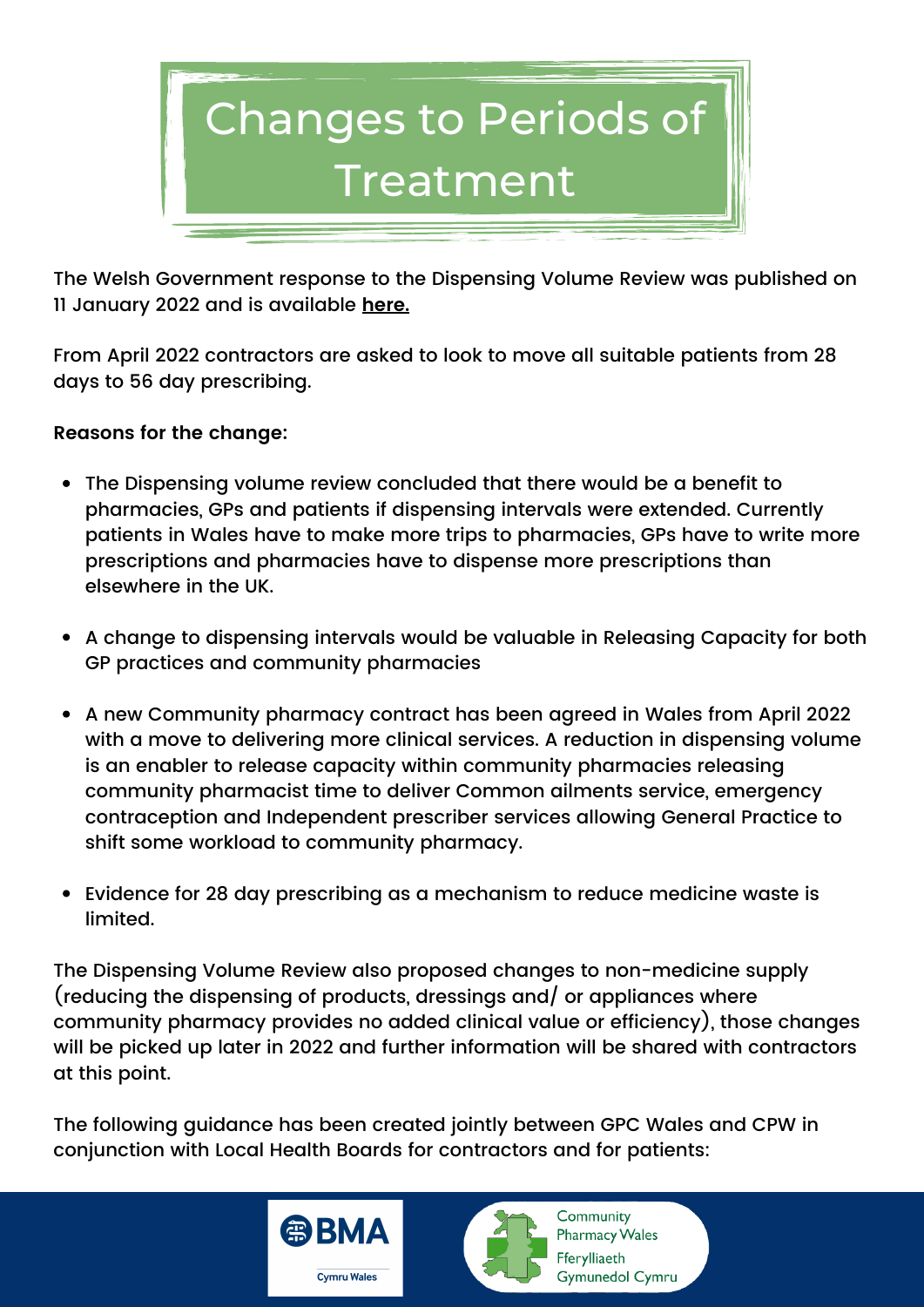

The Welsh Government response to the Dispensing Volume Review was published on 11 January 2022 and is available **[here](https://gov.wales/review-dispensing-volumes-community-pharmacies-welsh-government-response).**

From April 2022 contractors are asked to look to move all suitable patients from 28 days to 56 day prescribing.

### **Reasons for the change:**

- The Dispensing volume review concluded that there would be a benefit to pharmacies, GPs and patients if dispensing intervals were extended. Currently patients in Wales have to make more trips to pharmacies, GPs have to write more prescriptions and pharmacies have to dispense more prescriptions than elsewhere in the UK.
- A change to dispensing intervals would be valuable in Releasing Capacity for both GP practices and community pharmacies
- A new Community pharmacy contract has been agreed in Wales from April 2022 with a move to delivering more clinical services. A reduction in dispensing volume is an enabler to release capacity within community pharmacies releasing community pharmacist time to deliver Common ailments service, emergency contraception and Independent prescriber services allowing General Practice to shift some workload to community pharmacy.
- Evidence for 28 day prescribing as a mechanism to reduce medicine waste is limited.

The Dispensing Volume Review also proposed changes to non-medicine supply (reducing the dispensing of products, dressings and/ or appliances where community pharmacy provides no added clinical value or efficiency), those changes will be picked up later in 2022 and further information will be shared with contractors at this point.

The following guidance has been created jointly between GPC Wales and CPW in conjunction with Local Health Boards for contractors and for patients:



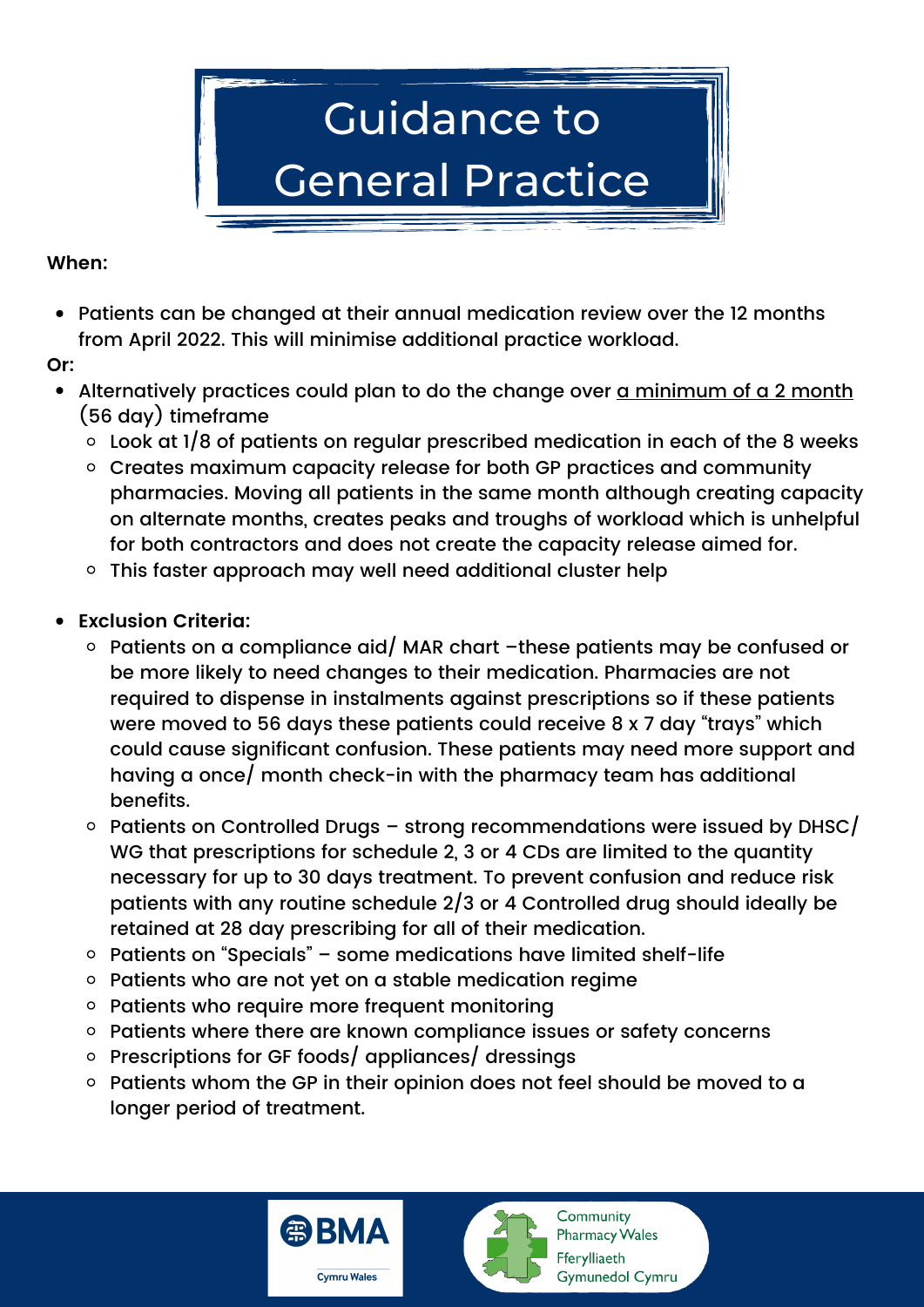

### **When:**

- Patients can be changed at their annual medication review over the 12 months from April 2022. This will minimise additional practice workload.
- **Or:**
- Alternatively practices could plan to do the change over a minimum of a 2 month (56 day) timeframe
	- $\circ$  Look at 1/8 of patients on regular prescribed medication in each of the 8 weeks
	- o Creates maximum capacity release for both GP practices and community pharmacies. Moving all patients in the same month although creating capacity on alternate months, creates peaks and troughs of workload which is unhelpful for both contractors and does not create the capacity release aimed for.
	- This faster approach may well need additional cluster help
- **Exclusion Criteria:**
	- $\circ$  Patients on a compliance aid/ MAR chart –these patients may be confused or be more likely to need changes to their medication. Pharmacies are not required to dispense in instalments against prescriptions so if these patients were moved to 56 days these patients could receive 8 x 7 day "trays" which could cause significant confusion. These patients may need more support and having a once/ month check-in with the pharmacy team has additional benefits.
	- $\circ$  Patients on Controlled Drugs strong recommendations were issued by DHSC/ WG that prescriptions for schedule 2, 3 or 4 CDs are limited to the quantity necessary for up to 30 days treatment. To prevent confusion and reduce risk patients with any routine schedule 2/3 or 4 Controlled drug should ideally be retained at 28 day prescribing for all of their medication.
	- $\circ$  Patients on "Specials" some medications have limited shelf-life
	- $\circ$  Patients who are not yet on a stable medication regime
	- o Patients who require more frequent monitoring
	- o Patients where there are known compliance issues or safety concerns
	- $\circ$  Prescriptions for GF foods/ appliances/ dressings
	- $\circ$  Patients whom the GP in their opinion does not feel should be moved to a longer period of treatment.



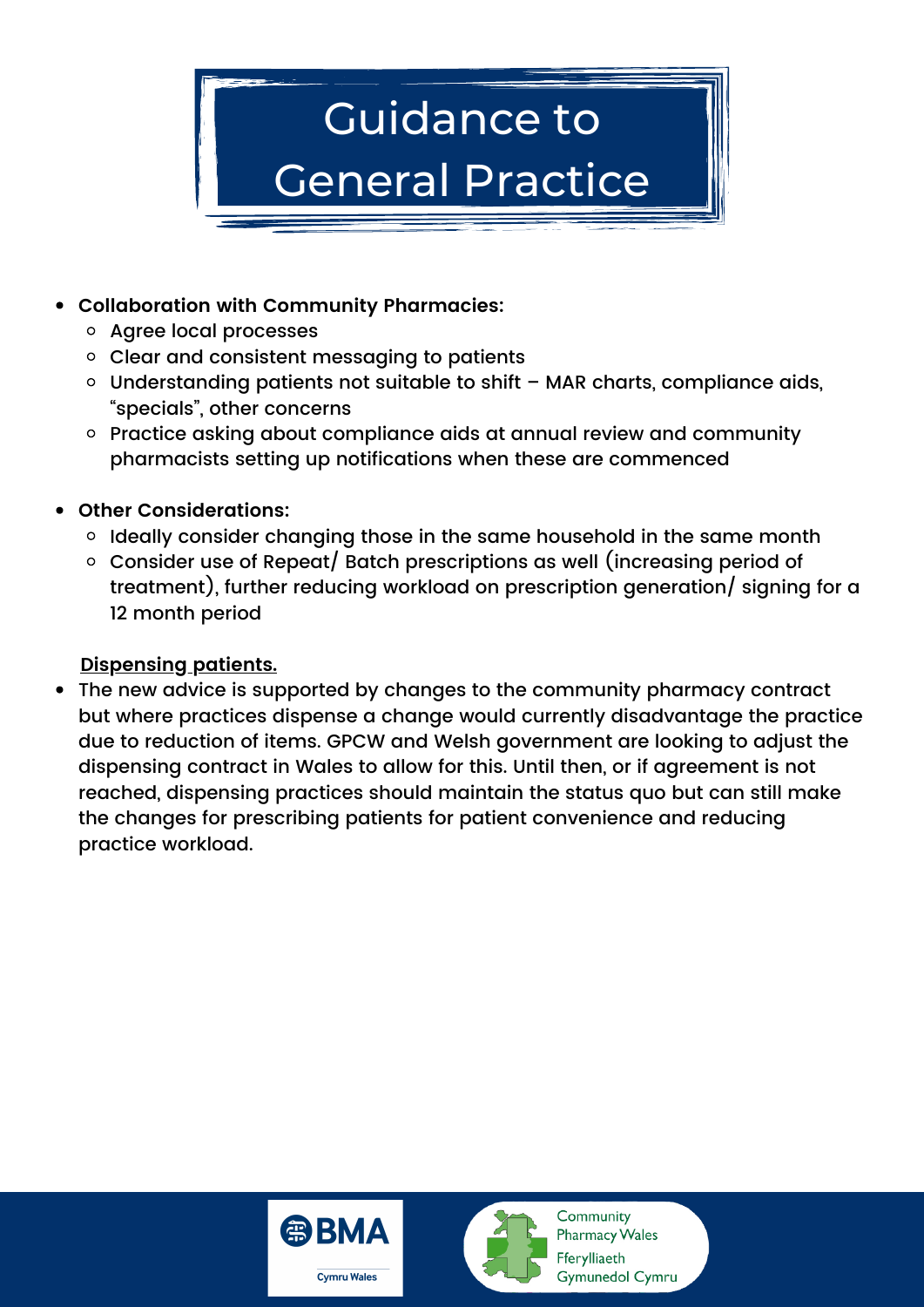

# **Collaboration with Community Pharmacies:**

- Agree local processes
- Clear and consistent messaging to patients
- Understanding patients not suitable to shift MAR charts, compliance aids, "specials", other concerns
- o Practice asking about compliance aids at annual review and community pharmacists setting up notifications when these are commenced
- **Other Considerations:**
	- $\circ$  Ideally consider changing those in the same household in the same month
	- Consider use of Repeat/ Batch prescriptions as well (increasing period of treatment), further reducing workload on prescription generation/ signing for a 12 month period

# **Dispensing patients.**

The new advice is supported by changes to the community pharmacy contract but where practices dispense a change would currently disadvantage the practice due to reduction of items. GPCW and Welsh government are looking to adjust the dispensing contract in Wales to allow for this. Until then, or if agreement is not reached, dispensing practices should maintain the status quo but can still make the changes for prescribing patients for patient convenience and reducing practice workload.



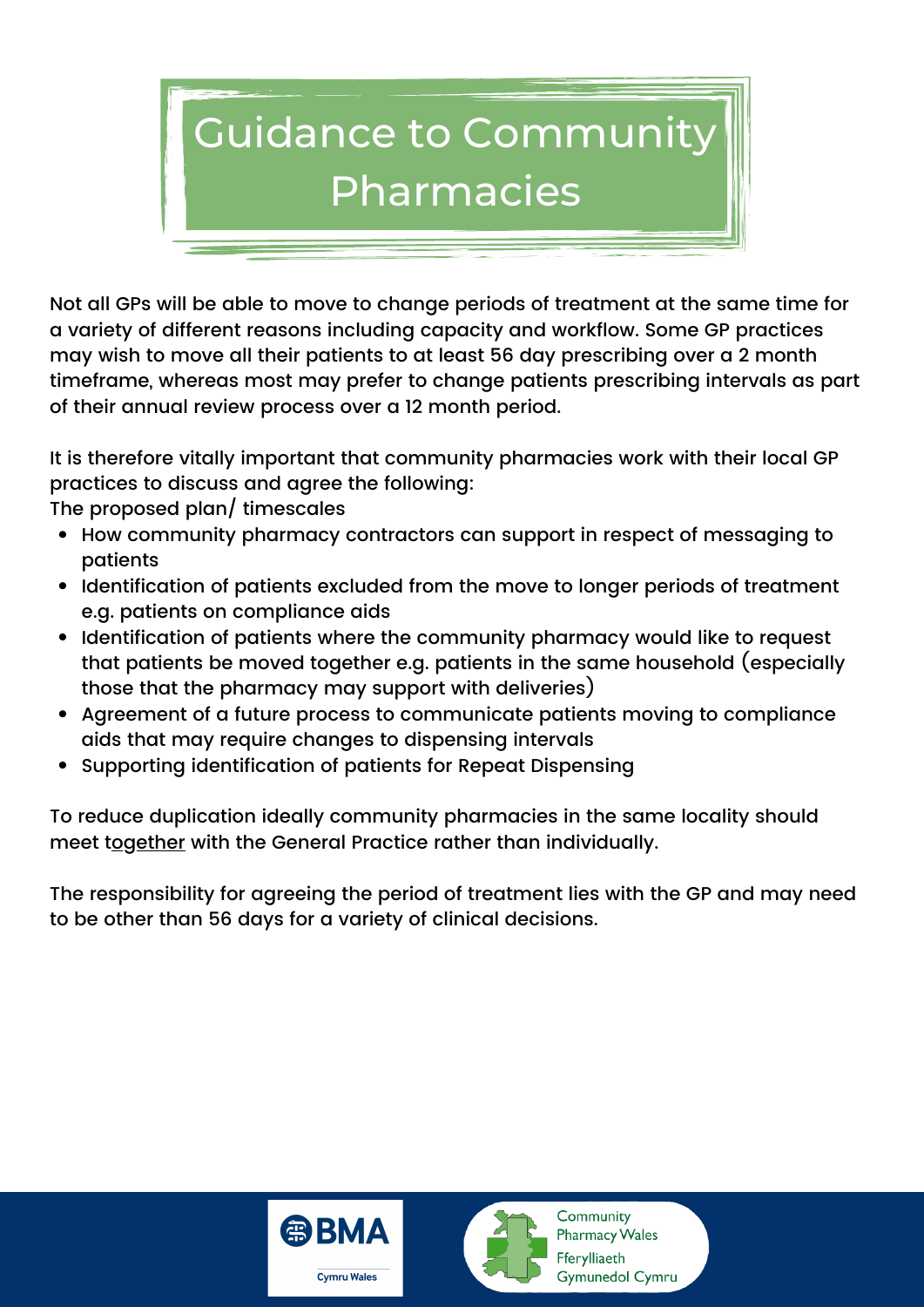

Not all GPs will be able to move to change periods of treatment at the same time for a variety of different reasons including capacity and workflow. Some GP practices may wish to move all their patients to at least 56 day prescribing over a 2 month timeframe, whereas most may prefer to change patients prescribing intervals as part of their annual review process over a 12 month period.

It is therefore vitally important that community pharmacies work with their local GP practices to discuss and agree the following:

The proposed plan/ timescales

- How community pharmacy contractors can support in respect of messaging to patients
- Identification of patients excluded from the move to longer periods of treatment e.g. patients on compliance aids
- Identification of patients where the community pharmacy would like to request that patients be moved together e.g. patients in the same household (especially those that the pharmacy may support with deliveries)
- Agreement of a future process to communicate patients moving to compliance aids that may require changes to dispensing intervals
- Supporting identification of patients for Repeat Dispensing

To reduce duplication ideally community pharmacies in the same locality should meet together with the General Practice rather than individually.

The responsibility for agreeing the period of treatment lies with the GP and may need to be other than 56 days for a variety of clinical decisions.



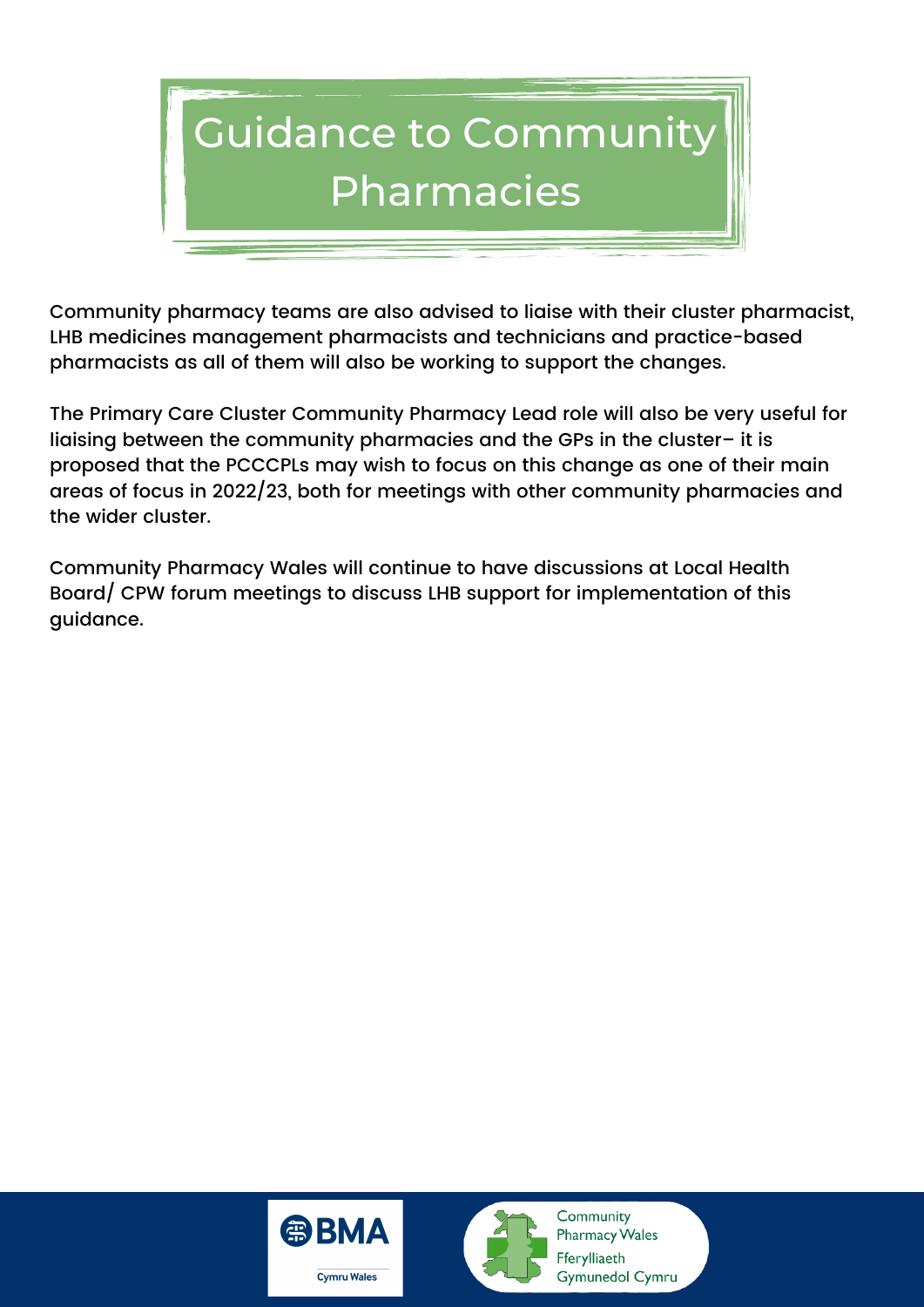

Community pharmacy teams are also advised to liaise with their cluster pharmacist, LHB medicines management pharmacists and technicians and practice-based pharmacists as all of them will also be working to support the changes.

The Primary Care Cluster Community Pharmacy Lead role will also be very useful for liaising between the community pharmacies and the GPs in the cluster– it is proposed that the PCCCPLs may wish to focus on this change as one of their main areas of focus in 2022/23, both for meetings with other community pharmacies and the wider cluster.

Community Pharmacy Wales will continue to have discussions at Local Health Board/ CPW forum meetings to discuss LHB support for implementation of this guidance.